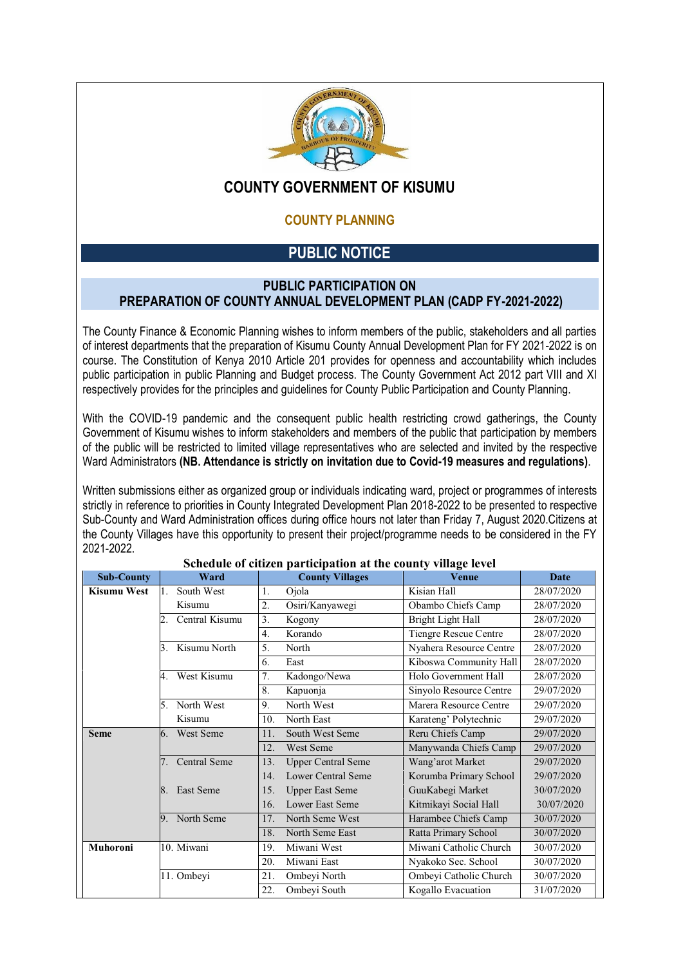

## **COUNTY GOVERNMENT OF KISUMU**

### **COUNTY PLANNING**

# **PUBLIC NOTICE**

#### **PUBLIC PARTICIPATION ON PREPARATION OF COUNTY ANNUAL DEVELOPMENT PLAN (CADP FY-2021-2022)**

The County Finance & Economic Planning wishes to inform members of the public, stakeholders and all parties of interest departments that the preparation of Kisumu County Annual Development Plan for FY 2021-2022 is on course. The Constitution of Kenya 2010 Article 201 provides for openness and accountability which includes public participation in public Planning and Budget process. The County Government Act 2012 part VIII and XI respectively provides for the principles and guidelines for County Public Participation and County Planning.

With the COVID-19 pandemic and the consequent public health restricting crowd gatherings, the County Government of Kisumu wishes to inform stakeholders and members of the public that participation by members of the public will be restricted to limited village representatives who are selected and invited by the respective Ward Administrators **(NB. Attendance is strictly on invitation due to Covid-19 measures and regulations)**.

Written submissions either as organized group or individuals indicating ward, project or programmes of interests strictly in reference to priorities in County Integrated Development Plan 2018-2022 to be presented to respective Sub-County and Ward Administration offices during office hours not later than Friday 7, August 2020.Citizens at the County Villages have this opportunity to present their project/programme needs to be considered in the FY 2021-2022.

| <b>Sub-County</b>  | Ward                 | <b>County Villages</b>           | <b>Venue</b>                 | Date       |
|--------------------|----------------------|----------------------------------|------------------------------|------------|
| <b>Kisumu West</b> | South West           | Ojola<br>1.                      | Kisian Hall                  | 28/07/2020 |
|                    | Kisumu               | 2.<br>Osiri/Kanyawegi            | Obambo Chiefs Camp           | 28/07/2020 |
|                    | Central Kisumu<br>2. | $3^{-}$<br>Kogony                | Bright Light Hall            | 28/07/2020 |
|                    |                      | $\overline{4}$ .<br>Korando      | <b>Tiengre Rescue Centre</b> | 28/07/2020 |
|                    | Kisumu North<br>3.   | 5 <sub>1</sub><br>North          | Nyahera Resource Centre      | 28/07/2020 |
|                    |                      | 6.<br>East                       | Kiboswa Community Hall       | 28/07/2020 |
|                    | West Kisumu<br>4.    | 7.<br>Kadongo/Newa               | Holo Government Hall         | 28/07/2020 |
|                    |                      | 8.<br>Kapuonja                   | Sinyolo Resource Centre      | 29/07/2020 |
|                    | North West<br>5.     | 9.<br>North West                 | Marera Resource Centre       | 29/07/2020 |
|                    | Kisumu               | North East<br>10.                | Karateng' Polytechnic        | 29/07/2020 |
| <b>Seme</b>        | West Seme<br>6.      | 11.<br>South West Seme           | Reru Chiefs Camp             | 29/07/2020 |
|                    |                      | 12.<br>West Seme                 | Manywanda Chiefs Camp        | 29/07/2020 |
|                    | Central Seme         | <b>Upper Central Seme</b><br>13. | Wang'arot Market             | 29/07/2020 |
|                    |                      | 14.<br>Lower Central Seme        | Korumba Primary School       | 29/07/2020 |
|                    | East Seme<br>8.      | 15.<br><b>Upper East Seme</b>    | GuuKabegi Market             | 30/07/2020 |
|                    |                      | 16.<br>Lower East Seme           | Kitmikayi Social Hall        | 30/07/2020 |
|                    | North Seme<br>9      | 17.<br>North Seme West           | Harambee Chiefs Camp         | 30/07/2020 |
|                    |                      | 18.<br>North Seme East           | Ratta Primary School         | 30/07/2020 |
| <b>Muhoroni</b>    | 10. Miwani           | Miwani West<br>19.               | Miwani Catholic Church       | 30/07/2020 |
|                    |                      | Miwani East<br>20.               | Nyakoko Sec. School          | 30/07/2020 |
|                    | 11. Ombeyi           | 21.<br>Ombeyi North              | Ombeyi Catholic Church       | 30/07/2020 |
|                    |                      | 22.<br>Ombeyi South              | Kogallo Evacuation           | 31/07/2020 |

#### **Schedule of citizen participation at the county village level**